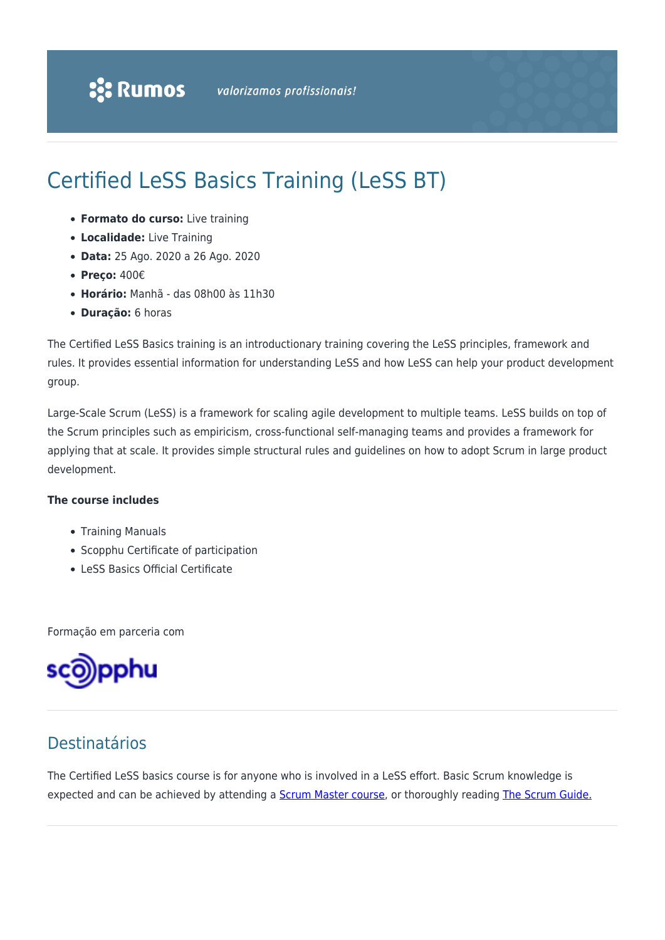# Certified LeSS Basics Training (LeSS BT)

- **Formato do curso:** Live training
- **Localidade:** Live Training
- **Data:** 25 Ago. 2020 a 26 Ago. 2020
- **Preço:** 400€
- **Horário:** Manhã das 08h00 às 11h30
- **Duração:** 6 horas

The Certified LeSS Basics training is an introductionary training covering the LeSS principles, framework and rules. It provides essential information for understanding LeSS and how LeSS can help your product development group.

Large-Scale Scrum (LeSS) is a framework for scaling agile development to multiple teams. LeSS builds on top of the Scrum principles such as empiricism, cross-functional self-managing teams and provides a framework for applying that at scale. It provides simple structural rules and guidelines on how to adopt Scrum in large product development.

#### **The course includes**

- Training Manuals
- Scopphu Certificate of participation
- LeSS Basics Official Certificate

Formação em parceria com



### Destinatários

The Certified LeSS basics course is for anyone who is involved in a LeSS effort. Basic Scrum knowledge is expected and can be achieved by attending a **Scrum Master course**, or thoroughly reading [The Scrum Guide.](https://www.scrumguides.org/docs/scrumguide/v2017/2017-Scrum-Guide-US.pdf)